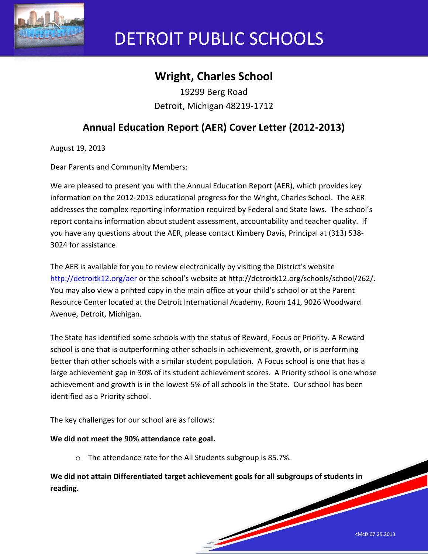

# DETROIT PUBLIC SCHOOLS

# **Wright, Charles School**

19299 Berg Road Detroit, Michigan 48219-1712

## **Annual Education Report (AER) Cover Letter (2012-2013)**

August 19, 2013

Dear Parents and Community Members:

We are pleased to present you with the Annual Education Report (AER), which provides key information on the 2012-2013 educational progress for the Wright, Charles School. The AER addresses the complex reporting information required by Federal and State laws. The school's report contains information about student assessment, accountability and teacher quality. If you have any questions about the AER, please contact Kimbery Davis, Principal at (313) 538- 3024 for assistance.

The AER is available for you to review electronically by visiting the District's website http://detroitk12.org/aer or the school's website at http://detroitk12.org/schools/school/262/. You may also view a printed copy in the main office at your child's school or at the Parent Resource Center located at the Detroit International Academy, Room 141, 9026 Woodward Avenue, Detroit, Michigan.

The State has identified some schools with the status of Reward, Focus or Priority. A Reward school is one that is outperforming other schools in achievement, growth, or is performing better than other schools with a similar student population. A Focus school is one that has a large achievement gap in 30% of its student achievement scores. A Priority school is one whose achievement and growth is in the lowest 5% of all schools in the State. Our school has been identified as a Priority school.

The key challenges for our school are as follows:

#### **We did not meet the 90% attendance rate goal.**

o The attendance rate for the All Students subgroup is 85.7%.

**We did not attain Differentiated target achievement goals for all subgroups of students in reading.**

<u>Service Service Service Service Service Service Service Service Service Service Service Service Service Service Service Service Service Service Service Service Service Service Service Service Service Service Service Servi</u>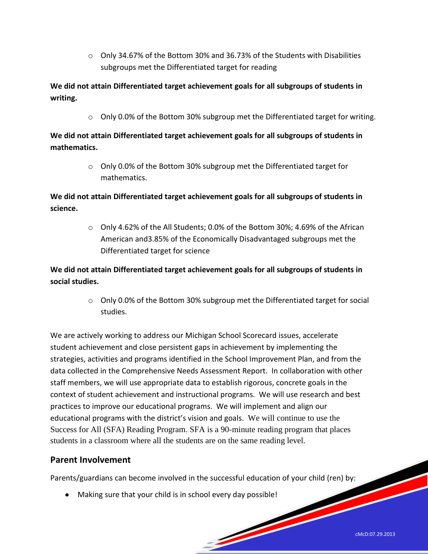$\circ$  Only 34.67% of the Bottom 30% and 36.73% of the Students with Disabilities subgroups met the Differentiated target for reading

**We did not attain Differentiated target achievement goals for all subgroups of students in writing.** 

o Only 0.0% of the Bottom 30% subgroup met the Differentiated target for writing.

**We did not attain Differentiated target achievement goals for all subgroups of students in mathematics.** 

> o Only 0.0% of the Bottom 30% subgroup met the Differentiated target for mathematics.

**We did not attain Differentiated target achievement goals for all subgroups of students in science.** 

> o Only 4.62% of the All Students; 0.0% of the Bottom 30%; 4.69% of the African American and3.85% of the Economically Disadvantaged subgroups met the Differentiated target for science

**We did not attain Differentiated target achievement goals for all subgroups of students in social studies.** 

> o Only 0.0% of the Bottom 30% subgroup met the Differentiated target for social studies.

We are actively working to address our Michigan School Scorecard issues, accelerate student achievement and close persistent gaps in achievement by implementing the strategies, activities and programs identified in the School Improvement Plan, and from the data collected in the Comprehensive Needs Assessment Report. In collaboration with other staff members, we will use appropriate data to establish rigorous, concrete goals in the context of student achievement and instructional programs. We will use research and best practices to improve our educational programs. We will implement and align our educational programs with the district's vision and goals. We will continue to use the Success for All (SFA) Reading Program. SFA is a 90-minute reading program that places students in a classroom where all the students are on the same reading level.

## **Parent Involvement**

Parents/guardians can become involved in the successful education of your child (ren) by:

<u>Services and the services of the services of the services of the series of the series of the series of the series of the series of the series of the series of the series of the series of the series of the series of the se</u>

Making sure that your child is in school every day possible!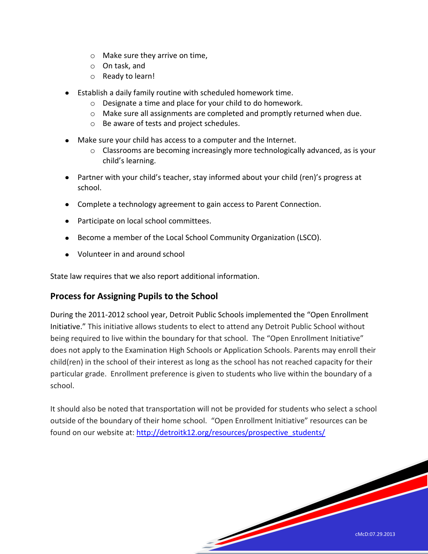- o Make sure they arrive on time,
- o On task, and
- o Ready to learn!
- Establish a daily family routine with scheduled homework time.
	- o Designate a time and place for your child to do homework.
	- o Make sure all assignments are completed and promptly returned when due.
	- o Be aware of tests and project schedules.
- Make sure your child has access to a computer and the Internet.
	- $\circ$  Classrooms are becoming increasingly more technologically advanced, as is your child's learning.
- Partner with your child's teacher, stay informed about your child (ren)'s progress at school.
- Complete a technology agreement to gain access to Parent Connection.
- Participate on local school committees.
- Become a member of the Local School Community Organization (LSCO).
- Volunteer in and around school

State law requires that we also report additional information.

## **Process for Assigning Pupils to the School**

During the 2011-2012 school year, Detroit Public Schools implemented the "Open Enrollment Initiative." This initiative allows students to elect to attend any Detroit Public School without being required to live within the boundary for that school. The "Open Enrollment Initiative" does not apply to the Examination High Schools or Application Schools. Parents may enroll their child(ren) in the school of their interest as long as the school has not reached capacity for their particular grade. Enrollment preference is given to students who live within the boundary of a school.

It should also be noted that transportation will not be provided for students who select a school outside of the boundary of their home school. "Open Enrollment Initiative" resources can be found on our website at: [http://detroitk12.org/resources/prospective\\_students/](http://detroitk12.org/resources/prospective_students/)

<u>San Sarajara San Sarajara Sarajara Sarajara Sarajara Sarajara Sarajara Sarajara Sarajara Sarajara Sarajara S</u>

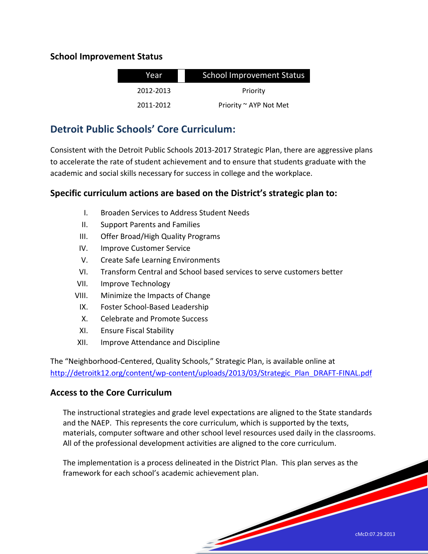## **School Improvement Status**

| Year      | <b>School Improvement Status</b> |  |
|-----------|----------------------------------|--|
| 2012-2013 | Priority                         |  |
| 2011-2012 | Priority ~ AYP Not Met           |  |

## **Detroit Public Schools' Core Curriculum:**

Consistent with the Detroit Public Schools 2013-2017 Strategic Plan, there are aggressive plans to accelerate the rate of student achievement and to ensure that students graduate with the academic and social skills necessary for success in college and the workplace.

## **Specific curriculum actions are based on the District's strategic plan to:**

- I. Broaden Services to Address Student Needs
- II. Support Parents and Families
- III. Offer Broad/High Quality Programs
- IV. Improve Customer Service
- V. Create Safe Learning Environments
- VI. Transform Central and School based services to serve customers better
- VII. Improve Technology
- VIII. Minimize the Impacts of Change
	- IX. Foster School-Based Leadership
	- X. Celebrate and Promote Success
	- XI. Ensure Fiscal Stability
- XII. Improve Attendance and Discipline

The "Neighborhood-Centered, Quality Schools," Strategic Plan, is available online at [http://detroitk12.org/content/wp-content/uploads/2013/03/Strategic\\_Plan\\_DRAFT-FINAL.pdf](http://detroitk12.org/content/wp-content/uploads/2013/03/Strategic_Plan_DRAFT-FINAL.pdf)

## **Access to the Core Curriculum**

The instructional strategies and grade level expectations are aligned to the State standards and the NAEP. This represents the core curriculum, which is supported by the texts, materials, computer software and other school level resources used daily in the classrooms. All of the professional development activities are aligned to the core curriculum.

<u>Services and the services of the services of the services of the series of the series of the series of the series of the series of the series of the series of the series of the series of the series of the series of the se</u>

The implementation is a process delineated in the District Plan. This plan serves as the framework for each school's academic achievement plan.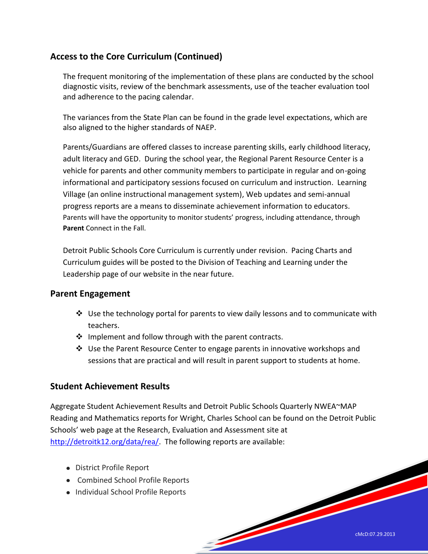## **Access to the Core Curriculum (Continued)**

The frequent monitoring of the implementation of these plans are conducted by the school diagnostic visits, review of the benchmark assessments, use of the teacher evaluation tool and adherence to the pacing calendar.

The variances from the State Plan can be found in the grade level expectations, which are also aligned to the higher standards of NAEP.

Parents/Guardians are offered classes to increase parenting skills, early childhood literacy, adult literacy and GED. During the school year, the Regional Parent Resource Center is a vehicle for parents and other community members to participate in regular and on-going informational and participatory sessions focused on curriculum and instruction. Learning Village (an online instructional management system), Web updates and semi-annual progress reports are a means to disseminate achievement information to educators. Parents will have the opportunity to monitor students' progress, including attendance, through **Parent** Connect in the Fall.

Detroit Public Schools Core Curriculum is currently under revision. Pacing Charts and Curriculum guides will be posted to the Division of Teaching and Learning under the Leadership page of our website in the near future.

## **Parent Engagement**

- $\clubsuit$  Use the technology portal for parents to view daily lessons and to communicate with teachers.
- $\clubsuit$  Implement and follow through with the parent contracts.
- Use the Parent Resource Center to engage parents in innovative workshops and sessions that are practical and will result in parent support to students at home.

## **Student Achievement Results**

Aggregate Student Achievement Results and Detroit Public Schools Quarterly NWEA~MAP Reading and Mathematics reports for Wright, Charles School can be found on the Detroit Public Schools' web page at the Research, Evaluation and Assessment site at [http://detroitk12.org/data/rea/.](http://detroitk12.org/data/rea/) The following reports are available:

<u>Services of the Communication of the Communication of the Communication of the Communication of the Communication of the Communication of the Communication of the Communication of the Communication of the Communication of</u>

- District Profile Report
- Combined School Profile Reports
- Individual School Profile Reports